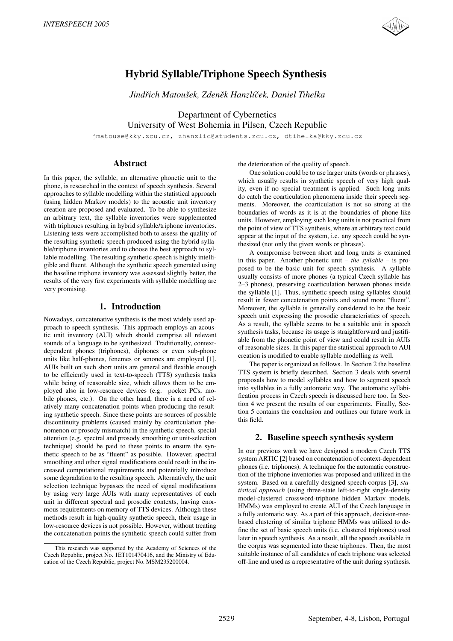

# Hybrid Syllable/Triphone Speech Synthesis

*Jindrich Matou ˇ sek, Zden ˇ ek Hanzl ˇ ´ıcek, Daniel Tihelka ˇ*

Department of Cybernetics University of West Bohemia in Pilsen, Czech Republic

jmatouse@kky.zcu.cz, zhanzlic@students.zcu.cz, dtihelka@kky.zcu.cz

# Abstract

In this paper, the syllable, an alternative phonetic unit to the phone, is researched in the context of speech synthesis. Several approaches to syllable modelling within the statistical approach (using hidden Markov models) to the acoustic unit inventory creation are proposed and evaluated. To be able to synthesize an arbitrary text, the syllable inventories were supplemented with triphones resulting in hybrid syllable/triphone inventories. Listening tests were accomplished both to assess the quality of the resulting synthetic speech produced using the hybrid syllable/triphone inventories and to choose the best approach to syllable modelling. The resulting synthetic speech is highly intelligible and fluent. Although the synthetic speech generated using the baseline triphone inventory was assessed slightly better, the results of the very first experiments with syllable modelling are very promising.

# 1. Introduction

Nowadays, concatenative synthesis is the most widely used approach to speech synthesis. This approach employs an acoustic unit inventory (AUI) which should comprise all relevant sounds of a language to be synthesized. Traditionally, contextdependent phones (triphones), diphones or even sub-phone units like half-phones, fenemes or senones are employed [1]. AUIs built on such short units are general and flexible enough to be efficiently used in text-to-speech (TTS) synthesis tasks while being of reasonable size, which allows them to be employed also in low-resource devices (e.g. pocket PCs, mobile phones, etc.). On the other hand, there is a need of relatively many concatenation points when producing the resulting synthetic speech. Since these points are sources of possible discontinuity problems (caused mainly by coarticulation phenomenon or prosody mismatch) in the synthetic speech, special attention (e.g. spectral and prosody smoothing or unit-selection technique) should be paid to these points to ensure the synthetic speech to be as "fluent" as possible. However, spectral smoothing and other signal modifications could result in the increased computational requirements and potentially introduce some degradation to the resulting speech. Alternatively, the unit selection technique bypasses the need of signal modifications by using very large AUIs with many representatives of each unit in different spectral and prosodic contexts, having enormous requirements on memory of TTS devices. Although these methods result in high-quality synthetic speech, their usage in low-resource devices is not possible. However, without treating the concatenation points the synthetic speech could suffer from the deterioration of the quality of speech.

One solution could be to use larger units (words or phrases), which usually results in synthetic speech of very high quality, even if no special treatment is applied. Such long units do catch the coarticulation phenomena inside their speech segments. Moreover, the coarticulation is not so strong at the boundaries of words as it is at the boundaries of phone-like units. However, employing such long units is not practical from the point of view of TTS synthesis, where an arbitrary text could appear at the input of the system, i.e. any speech could be synthesized (not only the given words or phrases).

A compromise between short and long units is examined in this paper. Another phonetic unit – *the syllable* – is proposed to be the basic unit for speech synthesis. A syllable usually consists of more phones (a typical Czech syllable has 2–3 phones), preserving coarticulation between phones inside the syllable [1]. Thus, synthetic speech using syllables should result in fewer concatenation points and sound more "fluent". Moreover, the syllable is generally considered to be the basic speech unit expressing the prosodic characteristics of speech. As a result, the syllable seems to be a suitable unit in speech synthesis tasks, because its usage is straightforward and justifiable from the phonetic point of view and could result in AUIs of reasonable sizes. In this paper the statistical approach to AUI creation is modified to enable syllable modelling as well.

The paper is organized as follows. In Section 2 the baseline TTS system is briefly described. Section 3 deals with several proposals how to model syllables and how to segment speech into syllables in a fully automatic way. The automatic syllabification process in Czech speech is discussed here too. In Section 4 we present the results of our experiments. Finally, Section 5 contains the conclusion and outlines our future work in this field.

### 2. Baseline speech synthesis system

In our previous work we have designed a modern Czech TTS system ARTIC [2] based on concatenation of context-dependent phones (i.e. triphones). A technique for the automatic construction of the triphone inventories was proposed and utilized in the system. Based on a carefully designed speech corpus [3], *statistical approach* (using three-state left-to-right single-density model-clustered crossword-triphone hidden Markov models, HMMs) was employed to create AUI of the Czech language in a fully automatic way. As a part of this approach, decision-treebased clustering of similar triphone HMMs was utilized to define the set of basic speech units (i.e. clustered triphones) used later in speech synthesis. As a result, all the speech available in the corpus was segmented into these triphones. Then, the most suitable instance of all candidates of each triphone was selected off-line and used as a representative of the unit during synthesis.

This research was supported by the Academy of Sciences of the Czech Republic, project No. 1ET101470416, and the Ministry of Education of the Czech Republic, project No. MSM235200004.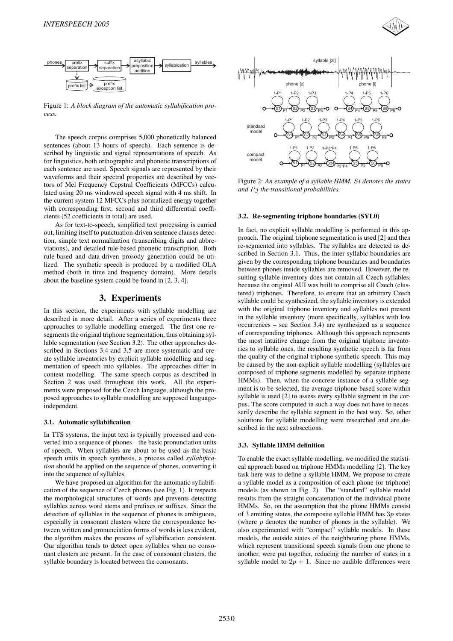



Figure 1: *A block diagram of the automatic syllabification process.*

The speech corpus comprises 5,000 phonetically balanced sentences (about 13 hours of speech). Each sentence is described by linguistic and signal representations of speech. As for linguistics, both orthographic and phonetic transcriptions of each sentence are used. Speech signals are represented by their waveforms and their spectral properties are described by vectors of Mel Frequency Cepstral Coefficients (MFCCs) calculated using 20 ms windowed speech signal with 4 ms shift. In the current system 12 MFCCs plus normalized energy together with corresponding first, second and third differential coefficients (52 coefficients in total) are used.

As for text-to-speech, simplified text processing is carried out, limiting itself to punctuation-driven sentence clauses detection, simple text normalization (transcribing digits and abbreviations), and detailed rule-based phonetic transcription. Both rule-based and data-driven prosody generation could be utilized. The synthetic speech is produced by a modified OLA method (both in time and frequency domain). More details about the baseline system could be found in [2, 3, 4].

## 3. Experiments

In this section, the experiments with syllable modelling are described in more detail. After a series of experiments three approaches to syllable modelling emerged. The first one resegments the original triphone segmentation, thus obtaining syllable segmentation (see Section 3.2). The other approaches described in Sections 3.4 and 3.5 are more systematic and create syllable inventories by explicit syllable modelling and segmentation of speech into syllables. The approaches differ in context modelling. The same speech corpus as described in Section 2 was used throughout this work. All the experiments were proposed for the Czech language, although the proposed approaches to syllable modelling are supposed languageindependent.

#### 3.1. Automatic syllabification

In TTS systems, the input text is typically processed and converted into a sequence of phones – the basic pronunciation units of speech. When syllables are about to be used as the basic speech units in speech synthesis, a process called *syllabification* should be applied on the sequence of phones, converting it into the sequence of syllables.

We have proposed an algorithm for the automatic syllabification of the sequence of Czech phones (see Fig. 1). It respects the morphological structures of words and prevents detecting syllables across word stems and prefixes or suffixes. Since the detection of syllables in the sequence of phones is ambiguous, especially in consonant clusters where the correspondence between written and pronunciation forms of words is less evident, the algorithm makes the process of syllabification consistent. Our algorithm tends to detect open syllables when no consonant clusters are present. In the case of consonant clusters, the syllable boundary is located between the consonants.



Figure 2: *An example of a syllable HMM. Si denotes the states and P j the transitional probabilities.*

#### 3.2. Re-segmenting triphone boundaries (SYL0)

In fact, no explicit syllable modelling is performed in this approach. The original triphone segmentation is used [2] and then re-segmented into syllables. The syllables are detected as described in Section 3.1. Thus, the inter-syllabic boundaries are given by the corresponding triphone boundaries and boundaries between phones inside syllables are removed. However, the resulting syllable inventory does not contain all Czech syllables, because the original AUI was built to comprise all Czech (clustered) triphones. Therefore, to ensure that an arbitrary Czech syllable could be synthesized, the syllable inventory is extended with the original triphone inventory and syllables not present in the syllable inventory (more specifically, syllables with low occurrences – see Section 3.4) are synthesized as a sequence of corresponding triphones. Although this approach represents the most intuitive change from the original triphone inventories to syllable ones, the resulting synthetic speech is far from the quality of the original triphone synthetic speech. This may be caused by the non-explicit syllable modelling (syllables are composed of triphone segments modelled by separate triphone HMMs). Then, when the concrete instance of a syllable segment is to be selected, the average triphone-based score within syllable is used [2] to assess every syllable segment in the corpus. The score computed in such a way does not have to necessarily describe the syllable segment in the best way. So, other solutions for syllable modelling were researched and are described in the next subsections.

#### 3.3. Syllable HMM definition

To enable the exact syllable modelling, we modified the statistical approach based on triphone HMMs modelling [2]. The key task here was to define a syllable HMM. We propose to create a syllable model as a composition of each phone (or triphone) models (as shown in Fig. 2). The "standard" syllable model results from the straight concatenation of the individual phone HMMs. So, on the assumption that the phone HMMs consist of 3 emitting states, the composite syllable HMM has 3*p* states (where *p* denotes the number of phones in the syllable). We also experimented with "compact" syllable models. In these models, the outside states of the neighbouring phone HMMs, which represent transitional speech signals from one phone to another, were put together, reducing the number of states in a syllable model to  $2p + 1$ . Since no audible differences were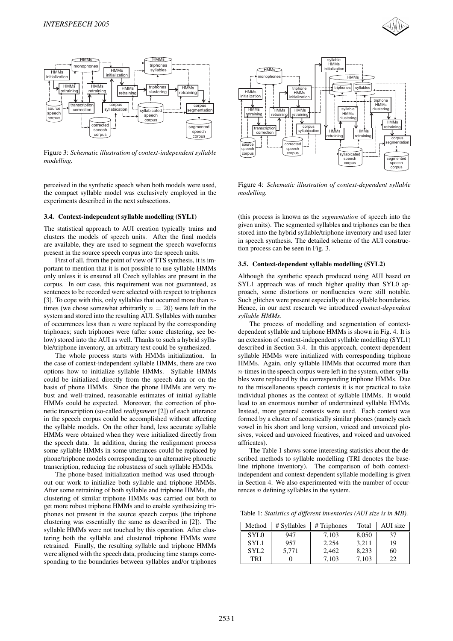



Figure 3: *Schematic illustration of context-independent syllable modelling.*

perceived in the synthetic speech when both models were used, the compact syllable model was exclusively employed in the experiments described in the next subsections.

#### 3.4. Context-independent syllable modelling (SYL1)

The statistical approach to AUI creation typically trains and clusters the models of speech units. After the final models are available, they are used to segment the speech waveforms present in the source speech corpus into the speech units.

First of all, from the point of view of TTS synthesis, it is important to mention that it is not possible to use syllable HMMs only unless it is ensured all Czech syllables are present in the corpus. In our case, this requirement was not guaranteed, as sentences to be recorded were selected with respect to triphones [3]. To cope with this, only syllables that occurred more than *n*times (we chose somewhat arbitrarily  $n = 20$ ) were left in the system and stored into the resulting AUI. Syllables with number of occurrences less than *n* were replaced by the corresponding triphones; such triphones were (after some clustering, see below) stored into the AUI as well. Thanks to such a hybrid syllable/triphone inventory, an arbitrary text could be synthesized.

The whole process starts with HMMs initialization. In the case of context-independent syllable HMMs, there are two options how to initialize syllable HMMs. Syllable HMMs could be initialized directly from the speech data or on the basis of phone HMMs. Since the phone HMMs are very robust and well-trained, reasonable estimates of initial syllable HMMs could be expected. Moreover, the correction of phonetic transcription (so-called *realignment* [2]) of each utterance in the speech corpus could be accomplished without affecting the syllable models. On the other hand, less accurate syllable HMMs were obtained when they were initialized directly from the speech data. In addition, during the realignment process some syllable HMMs in some utterances could be replaced by phone/triphone models corresponding to an alternative phonetic transcription, reducing the robustness of such syllable HMMs.

The phone-based initialization method was used throughout our work to initialize both syllable and triphone HMMs. After some retraining of both syllable and triphone HMMs, the clustering of similar triphone HMMs was carried out both to get more robust triphone HMMs and to enable synthesizing triphones not present in the source speech corpus (the triphone clustering was essentially the same as described in [2]). The syllable HMMs were not touched by this operation. After clustering both the syllable and clustered triphone HMMs were retrained. Finally, the resulting syllable and triphone HMMs were aligned with the speech data, producing time stamps corresponding to the boundaries between syllables and/or triphones



Figure 4: *Schematic illustration of context-dependent syllable modelling.*

(this process is known as the *segmentation* of speech into the given units). The segmented syllables and triphones can be then stored into the hybrid syllable/triphone inventory and used later in speech synthesis. The detailed scheme of the AUI construction process can be seen in Fig. 3.

#### 3.5. Context-dependent syllable modelling (SYL2)

Although the synthetic speech produced using AUI based on SYL1 approach was of much higher quality than SYL0 approach, some distortions or nonfluencies were still notable. Such glitches were present especially at the syllable boundaries. Hence, in our next research we introduced *context-dependent syllable HMMs*.

The process of modelling and segmentation of contextdependent syllable and triphone HMMs is shown in Fig. 4. It is an extension of context-independent syllable modelling (SYL1) described in Section 3.4. In this approach, context-dependent syllable HMMs were initialized with corresponding triphone HMMs. Again, only syllable HMMs that occurred more than *n*-times in the speech corpus were left in the system, other syllables were replaced by the corresponding triphone HMMs. Due to the miscellaneous speech contexts it is not practical to take individual phones as the context of syllable HMMs. It would lead to an enormous number of undertrained syllable HMMs. Instead, more general contexts were used. Each context was formed by a cluster of acoustically similar phones (namely each vowel in his short and long version, voiced and unvoiced plosives, voiced and unvoiced fricatives, and voiced and unvoiced affricates).

The Table 1 shows some interesting statistics about the described methods to syllable modelling (TRI denotes the baseline triphone inventory). The comparison of both contextindependent and context-dependent syllable modelling is given in Section 4. We also experimented with the number of occurrences *n* defining syllables in the system.

Table 1: *Statistics of different inventories (AUI size is in MB).*

| Method           | # Syllables | # Triphones | Total | AUI size |
|------------------|-------------|-------------|-------|----------|
| SYL0             | 947         | 7,103       | 8,050 | 37       |
| SYL1             | 957         | 2,254       | 3,211 | 19       |
| SYL <sub>2</sub> | 5,771       | 2,462       | 8,233 | 60       |
| TRI              |             | 7.103       | 7.103 | 22       |